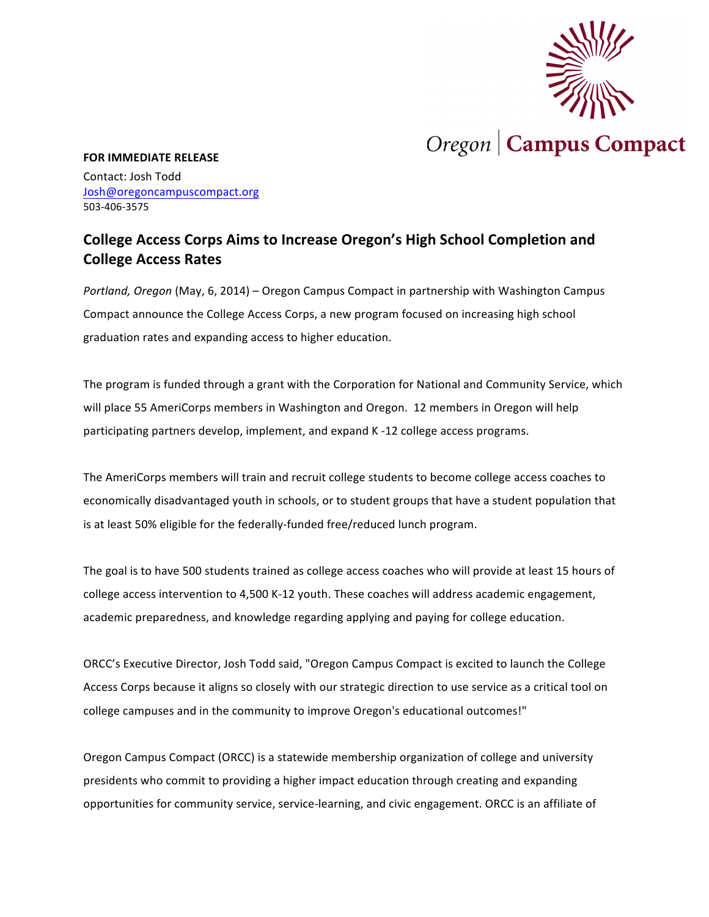

## **FOR IMMEDIATE RELEASE**

Contact: Josh Todd Josh@oregoncampuscompact.org 503-406-3575

## **College Access Corps Aims to Increase Oregon's High School Completion and College Access Rates**

*Portland, Oregon* (May, 6, 2014) – Oregon Campus Compact in partnership with Washington Campus Compact announce the College Access Corps, a new program focused on increasing high school graduation rates and expanding access to higher education.

The program is funded through a grant with the Corporation for National and Community Service, which will place 55 AmeriCorps members in Washington and Oregon. 12 members in Oregon will help participating partners develop, implement, and expand K -12 college access programs.

The AmeriCorps members will train and recruit college students to become college access coaches to economically disadvantaged youth in schools, or to student groups that have a student population that is at least 50% eligible for the federally-funded free/reduced lunch program.

The goal is to have 500 students trained as college access coaches who will provide at least 15 hours of college access intervention to 4,500 K-12 youth. These coaches will address academic engagement, academic preparedness, and knowledge regarding applying and paying for college education.

ORCC's Executive Director, Josh Todd said, "Oregon Campus Compact is excited to launch the College Access Corps because it aligns so closely with our strategic direction to use service as a critical tool on college campuses and in the community to improve Oregon's educational outcomes!"

Oregon Campus Compact (ORCC) is a statewide membership organization of college and university presidents who commit to providing a higher impact education through creating and expanding opportunities for community service, service-learning, and civic engagement. ORCC is an affiliate of